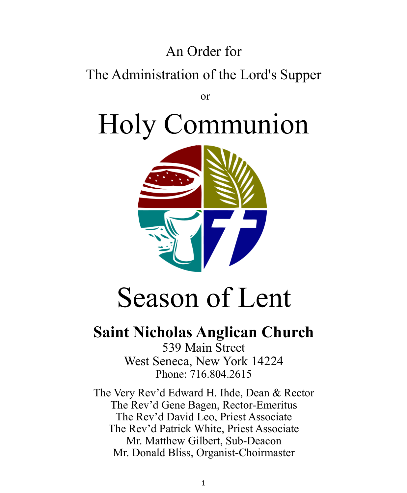# An Order for

# The Administration of the Lord's Supper

or

Holy Communion



# Season of Lent

# **Saint Nicholas Anglican Church**

539 Main Street West Seneca, New York 14224 Phone: 716.804.2615

The Very Rev'd Edward H. Ihde, Dean & Rector The Rev'd Gene Bagen, Rector-Emeritus The Rev'd David Leo, Priest Associate The Rev'd Patrick White, Priest Associate Mr. Matthew Gilbert, Sub-Deacon Mr. Donald Bliss, Organist-Choirmaster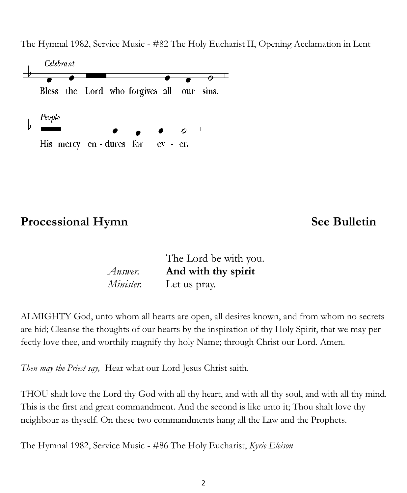The Hymnal 1982, Service Music - #82 The Holy Eucharist II, Opening Acclamation in Lent



### **Processional Hymn** See Bulletin

|           | The Lord be with you. |
|-----------|-----------------------|
| Answer.   | And with thy spirit   |
| Minister. | Let us pray.          |

ALMIGHTY God, unto whom all hearts are open, all desires known, and from whom no secrets are hid; Cleanse the thoughts of our hearts by the inspiration of thy Holy Spirit, that we may perfectly love thee, and worthily magnify thy holy Name; through Christ our Lord. Amen.

*Then may the Priest say,* Hear what our Lord Jesus Christ saith.

THOU shalt love the Lord thy God with all thy heart, and with all thy soul, and with all thy mind. This is the first and great commandment. And the second is like unto it; Thou shalt love thy neighbour as thyself. On these two commandments hang all the Law and the Prophets.

The Hymnal 1982, Service Music - #86 The Holy Eucharist, *Kyrie Eleison*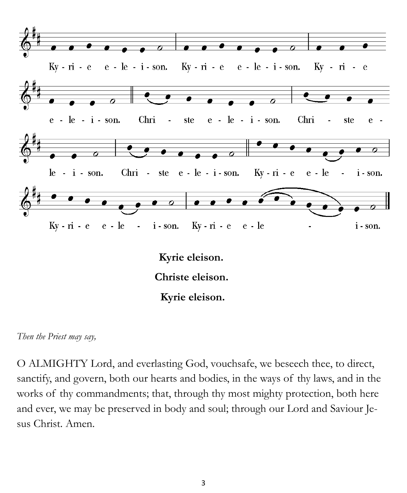



O ALMIGHTY Lord, and everlasting God, vouchsafe, we beseech thee, to direct, sanctify, and govern, both our hearts and bodies, in the ways of thy laws, and in the works of thy commandments; that, through thy most mighty protection, both here and ever, we may be preserved in body and soul; through our Lord and Saviour Jesus Christ. Amen.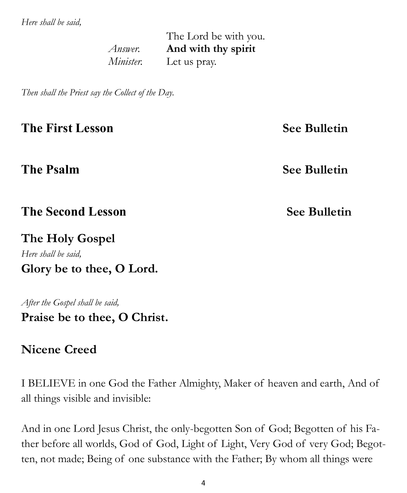*Here shall be said,* 

The Lord be with you. *Answer.* **And with thy spirit** *Minister.* Let us pray.

*Then shall the Priest say the Collect of the Day.*

**The First Lesson See Bulletin** 

**The Psalm See Bulletin**

**The Second Lesson** *See Bulletin* 

**The Holy Gospel**  *Here shall be said,*  **Glory be to thee, O Lord.** 

*After the Gospel shall be said,*  **Praise be to thee, O Christ.** 

### **Nicene Creed**

I BELIEVE in one God the Father Almighty, Maker of heaven and earth, And of all things visible and invisible:

And in one Lord Jesus Christ, the only-begotten Son of God; Begotten of his Father before all worlds, God of God, Light of Light, Very God of very God; Begotten, not made; Being of one substance with the Father; By whom all things were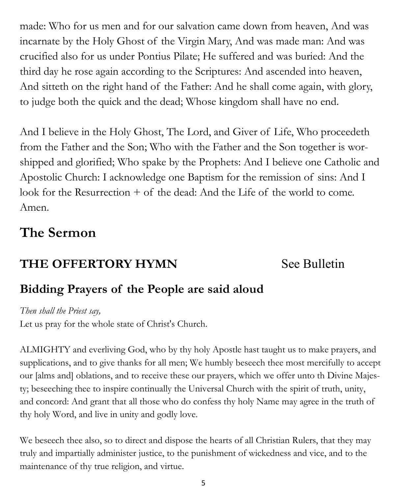made: Who for us men and for our salvation came down from heaven, And was incarnate by the Holy Ghost of the Virgin Mary, And was made man: And was crucified also for us under Pontius Pilate; He suffered and was buried: And the third day he rose again according to the Scriptures: And ascended into heaven, And sitteth on the right hand of the Father: And he shall come again, with glory, to judge both the quick and the dead; Whose kingdom shall have no end.

And I believe in the Holy Ghost, The Lord, and Giver of Life, Who proceedeth from the Father and the Son; Who with the Father and the Son together is worshipped and glorified; Who spake by the Prophets: And I believe one Catholic and Apostolic Church: I acknowledge one Baptism for the remission of sins: And I look for the Resurrection + of the dead: And the Life of the world to come. Amen.

# **The Sermon**

# **THE OFFERTORY HYMN** See Bulletin

# **Bidding Prayers of the People are said aloud**

*Then shall the Priest say,*

Let us pray for the whole state of Christ's Church.

ALMIGHTY and everliving God, who by thy holy Apostle hast taught us to make prayers, and supplications, and to give thanks for all men; We humbly beseech thee most mercifully to accept our [alms and] oblations, and to receive these our prayers, which we offer unto th Divine Majesty; beseeching thee to inspire continually the Universal Church with the spirit of truth, unity, and concord: And grant that all those who do confess thy holy Name may agree in the truth of thy holy Word, and live in unity and godly love.

We beseech thee also, so to direct and dispose the hearts of all Christian Rulers, that they may truly and impartially administer justice, to the punishment of wickedness and vice, and to the maintenance of thy true religion, and virtue.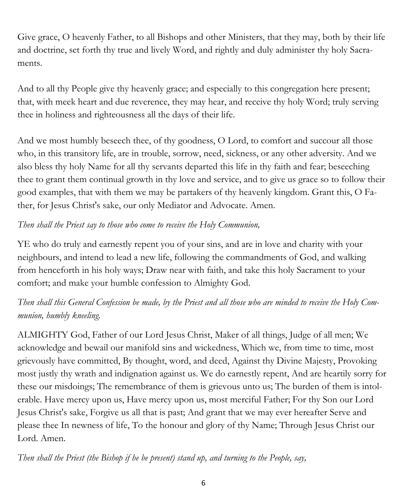Give grace, O heavenly Father, to all Bishops and other Ministers, that they may, both by their life and doctrine, set forth thy true and lively Word, and rightly and duly administer thy holy Sacraments.

And to all thy People give thy heavenly grace; and especially to this congregation here present; that, with meek heart and due reverence, they may hear, and receive thy holy Word; truly serving thee in holiness and righteousness all the days of their life.

And we most humbly beseech thee, of thy goodness, O Lord, to comfort and succour all those who, in this transitory life, are in trouble, sorrow, need, sickness, or any other adversity. And we also bless thy holy Name for all thy servants departed this life in thy faith and fear; beseeching thee to grant them continual growth in thy love and service, and to give us grace so to follow their good examples, that with them we may be partakers of thy heavenly kingdom. Grant this, O Father, for Jesus Christ's sake, our only Mediator and Advocate. Amen.

### *Then shall the Priest say to those who come to receive the Holy Communion,*

YE who do truly and earnestly repent you of your sins, and are in love and charity with your neighbours, and intend to lead a new life, following the commandments of God, and walking from henceforth in his holy ways; Draw near with faith, and take this holy Sacrament to your comfort; and make your humble confession to Almighty God.

### *Then shall this General Confession be made, by the Priest and all those who are minded to receive the Holy Communion, humbly kneeling.*

ALMIGHTY God, Father of our Lord Jesus Christ, Maker of all things, Judge of all men; We acknowledge and bewail our manifold sins and wickedness, Which we, from time to time, most grievously have committed, By thought, word, and deed, Against thy Divine Majesty, Provoking most justly thy wrath and indignation against us. We do earnestly repent, And are heartily sorry for these our misdoings; The remembrance of them is grievous unto us; The burden of them is intolerable. Have mercy upon us, Have mercy upon us, most merciful Father; For thy Son our Lord Jesus Christ's sake, Forgive us all that is past; And grant that we may ever hereafter Serve and please thee In newness of life, To the honour and glory of thy Name; Through Jesus Christ our Lord. Amen.

*Then shall the Priest (the Bishop if he be present) stand up, and turning to the People, say,*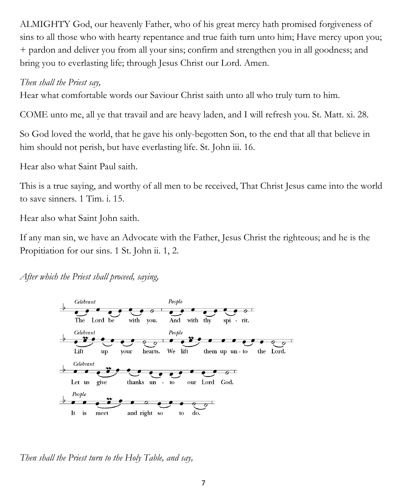ALMIGHTY God, our heavenly Father, who of his great mercy hath promised forgiveness of sins to all those who with hearty repentance and true faith turn unto him; Have mercy upon you; + pardon and deliver you from all your sins; confirm and strengthen you in all goodness; and bring you to everlasting life; through Jesus Christ our Lord. Amen.

### *Then shall the Priest say,*

Hear what comfortable words our Saviour Christ saith unto all who truly turn to him.

COME unto me, all ye that travail and are heavy laden, and I will refresh you. St. Matt. xi. 28.

So God loved the world, that he gave his only-begotten Son, to the end that all that believe in him should not perish, but have everlasting life. St. John iii. 16.

Hear also what Saint Paul saith.

This is a true saying, and worthy of all men to be received, That Christ Jesus came into the world to save sinners. 1 Tim. i. 15.

Hear also what Saint John saith.

If any man sin, we have an Advocate with the Father, Jesus Christ the righteous; and he is the Propitiation for our sins. 1 St. John ii. 1, 2.

*After which the Priest shall proceed, saying,*



*Then shall the Priest turn to the Holy Table, and say,*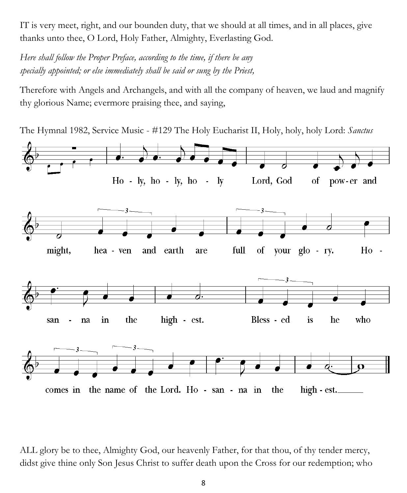IT is very meet, right, and our bounden duty, that we should at all times, and in all places, give thanks unto thee, O Lord, Holy Father, Almighty, Everlasting God.

*Here shall follow the Proper Preface, according to the time, if there be any specially appointed; or else immediately shall be said or sung by the Priest,*

Therefore with Angels and Archangels, and with all the company of heaven, we laud and magnify thy glorious Name; evermore praising thee, and saying,

The Hymnal 1982, Service Music - #129 The Holy Eucharist II, Holy, holy, holy Lord: *Sanctus*



ALL glory be to thee, Almighty God, our heavenly Father, for that thou, of thy tender mercy, didst give thine only Son Jesus Christ to suffer death upon the Cross for our redemption; who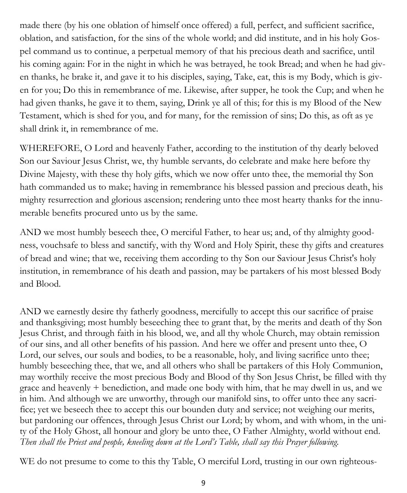made there (by his one oblation of himself once offered) a full, perfect, and sufficient sacrifice, oblation, and satisfaction, for the sins of the whole world; and did institute, and in his holy Gospel command us to continue, a perpetual memory of that his precious death and sacrifice, until his coming again: For in the night in which he was betrayed, he took Bread; and when he had given thanks, he brake it, and gave it to his disciples, saying, Take, eat, this is my Body, which is given for you; Do this in remembrance of me. Likewise, after supper, he took the Cup; and when he had given thanks, he gave it to them, saying, Drink ye all of this; for this is my Blood of the New Testament, which is shed for you, and for many, for the remission of sins; Do this, as oft as ye shall drink it, in remembrance of me.

WHEREFORE, O Lord and heavenly Father, according to the institution of thy dearly beloved Son our Saviour Jesus Christ, we, thy humble servants, do celebrate and make here before thy Divine Majesty, with these thy holy gifts, which we now offer unto thee, the memorial thy Son hath commanded us to make; having in remembrance his blessed passion and precious death, his mighty resurrection and glorious ascension; rendering unto thee most hearty thanks for the innumerable benefits procured unto us by the same.

AND we most humbly beseech thee, O merciful Father, to hear us; and, of thy almighty goodness, vouchsafe to bless and sanctify, with thy Word and Holy Spirit, these thy gifts and creatures of bread and wine; that we, receiving them according to thy Son our Saviour Jesus Christ's holy institution, in remembrance of his death and passion, may be partakers of his most blessed Body and Blood.

AND we earnestly desire thy fatherly goodness, mercifully to accept this our sacrifice of praise and thanksgiving; most humbly beseeching thee to grant that, by the merits and death of thy Son Jesus Christ, and through faith in his blood, we, and all thy whole Church, may obtain remission of our sins, and all other benefits of his passion. And here we offer and present unto thee, O Lord, our selves, our souls and bodies, to be a reasonable, holy, and living sacrifice unto thee; humbly beseeching thee, that we, and all others who shall be partakers of this Holy Communion, may worthily receive the most precious Body and Blood of thy Son Jesus Christ, be filled with thy grace and heavenly + benediction, and made one body with him, that he may dwell in us, and we in him. And although we are unworthy, through our manifold sins, to offer unto thee any sacrifice; yet we beseech thee to accept this our bounden duty and service; not weighing our merits, but pardoning our offences, through Jesus Christ our Lord; by whom, and with whom, in the unity of the Holy Ghost, all honour and glory be unto thee, O Father Almighty, world without end. *Then shall the Priest and people, kneeling down at the Lord's Table, shall say this Prayer following.*

WE do not presume to come to this thy Table, O merciful Lord, trusting in our own righteous-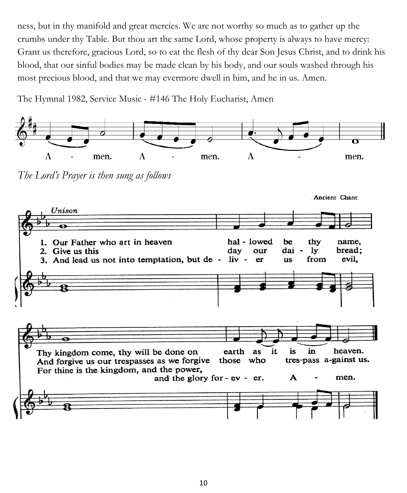ness, but in thy manifold and great mercies. We are not worthy so much as to gather up the crumbs under thy Table. But thou art the same Lord, whose property is always to have mercy: Grant us therefore, gracious Lord, so to eat the flesh of thy dear Son Jesus Christ, and to drink his blood, that our sinful bodies may be made clean by his body, and our souls washed through his most precious blood, and that we may evermore dwell in him, and he in us. Amen.

The Hymnal 1982, Service Music - #146 The Holy Eucharist, Amen

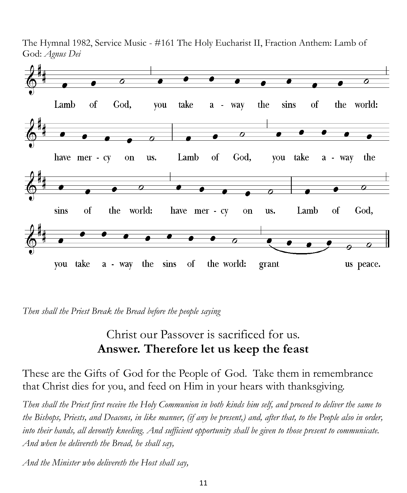The Hymnal 1982, Service Music - #161 The Holy Eucharist II, Fraction Anthem: Lamb of God: *Agnus Dei*



*Then shall the Priest Break the Bread before the people saying*

## Christ our Passover is sacrificed for us. **Answer. Therefore let us keep the feast**

These are the Gifts of God for the People of God. Take them in remembrance that Christ dies for you, and feed on Him in your hears with thanksgiving.

*Then shall the Priest first receive the Holy Communion in both kinds him self, and proceed to deliver the same to the Bishops, Priests, and Deacons, in like manner, (if any be present,) and, after that, to the People also in order, into their hands, all devoutly kneeling. And sufficient opportunity shall be given to those present to communicate. And when he delivereth the Bread, he shall say,*

*And the Minister who delivereth the Host shall say,*